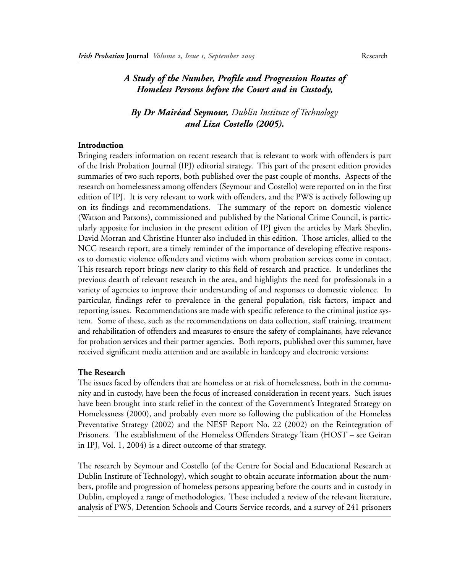## *A Study of the Number, Profile and Progression Routes of Homeless Persons before the Court and in Custody,*

*By Dr Mairéad Seymour, Dublin Institute of Technology and Liza Costello (2005).* 

## **Introduction**

Bringing readers information on recent research that is relevant to work with offenders is part of the Irish Probation Journal (IPJ) editorial strategy. This part of the present edition provides summaries of two such reports, both published over the past couple of months. Aspects of the research on homelessness among offenders (Seymour and Costello) were reported on in the first edition of IPJ. It is very relevant to work with offenders, and the PWS is actively following up on its findings and recommendations. The summary of the report on domestic violence (Watson and Parsons), commissioned and published by the National Crime Council, is particularly apposite for inclusion in the present edition of IPJ given the articles by Mark Shevlin, David Morran and Christine Hunter also included in this edition. Those articles, allied to the NCC research report, are a timely reminder of the importance of developing effective responses to domestic violence offenders and victims with whom probation services come in contact. This research report brings new clarity to this field of research and practice. It underlines the previous dearth of relevant research in the area, and highlights the need for professionals in a variety of agencies to improve their understanding of and responses to domestic violence. In particular, findings refer to prevalence in the general population, risk factors, impact and reporting issues. Recommendations are made with specific reference to the criminal justice system. Some of these, such as the recommendations on data collection, staff training, treatment and rehabilitation of offenders and measures to ensure the safety of complainants, have relevance for probation services and their partner agencies. Both reports, published over this summer, have received significant media attention and are available in hardcopy and electronic versions:

## **The Research**

The issues faced by offenders that are homeless or at risk of homelessness, both in the community and in custody, have been the focus of increased consideration in recent years. Such issues have been brought into stark relief in the context of the Government's Integrated Strategy on Homelessness (2000), and probably even more so following the publication of the Homeless Preventative Strategy (2002) and the NESF Report No. 22 (2002) on the Reintegration of Prisoners. The establishment of the Homeless Offenders Strategy Team (HOST – see Geiran in IPJ, Vol. 1, 2004) is a direct outcome of that strategy.

The research by Seymour and Costello (of the Centre for Social and Educational Research at Dublin Institute of Technology), which sought to obtain accurate information about the numbers, profile and progression of homeless persons appearing before the courts and in custody in Dublin, employed a range of methodologies. These included a review of the relevant literature, analysis of PWS, Detention Schools and Courts Service records, and a survey of 241 prisoners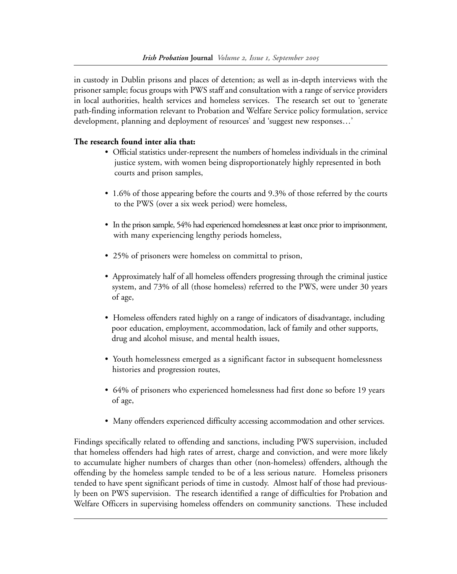in custody in Dublin prisons and places of detention; as well as in-depth interviews with the prisoner sample; focus groups with PWS staff and consultation with a range of service providers in local authorities, health services and homeless services. The research set out to 'generate path-finding information relevant to Probation and Welfare Service policy formulation, service development, planning and deployment of resources' and 'suggest new responses…'

## **The research found inter alia that:**

- Official statistics under-represent the numbers of homeless individuals in the criminal justice system, with women being disproportionately highly represented in both courts and prison samples,
- 1.6% of those appearing before the courts and 9.3% of those referred by the courts to the PWS (over a six week period) were homeless,
- In the prison sample, 54% had experienced homelessness at least once prior to imprisonment, with many experiencing lengthy periods homeless,
- 25% of prisoners were homeless on committal to prison,
- Approximately half of all homeless offenders progressing through the criminal justice system, and 73% of all (those homeless) referred to the PWS, were under 30 years of age,
- Homeless offenders rated highly on a range of indicators of disadvantage, including poor education, employment, accommodation, lack of family and other supports, drug and alcohol misuse, and mental health issues,
- Youth homelessness emerged as a significant factor in subsequent homelessness histories and progression routes,
- 64% of prisoners who experienced homelessness had first done so before 19 years of age,
- Many offenders experienced difficulty accessing accommodation and other services.

Findings specifically related to offending and sanctions, including PWS supervision, included that homeless offenders had high rates of arrest, charge and conviction, and were more likely to accumulate higher numbers of charges than other (non-homeless) offenders, although the offending by the homeless sample tended to be of a less serious nature. Homeless prisoners tended to have spent significant periods of time in custody. Almost half of those had previously been on PWS supervision. The research identified a range of difficulties for Probation and Welfare Officers in supervising homeless offenders on community sanctions. These included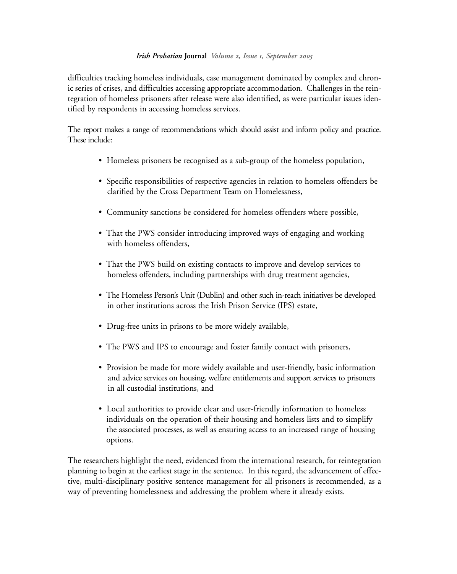difficulties tracking homeless individuals, case management dominated by complex and chronic series of crises, and difficulties accessing appropriate accommodation. Challenges in the reintegration of homeless prisoners after release were also identified, as were particular issues identified by respondents in accessing homeless services.

The report makes a range of recommendations which should assist and inform policy and practice. These include:

- Homeless prisoners be recognised as a sub-group of the homeless population,
- Specific responsibilities of respective agencies in relation to homeless offenders be clarified by the Cross Department Team on Homelessness,
- Community sanctions be considered for homeless offenders where possible,
- That the PWS consider introducing improved ways of engaging and working with homeless offenders,
- That the PWS build on existing contacts to improve and develop services to homeless offenders, including partnerships with drug treatment agencies,
- The Homeless Person's Unit (Dublin) and other such in-reach initiatives be developed in other institutions across the Irish Prison Service (IPS) estate,
- Drug-free units in prisons to be more widely available,
- The PWS and IPS to encourage and foster family contact with prisoners,
- Provision be made for more widely available and user-friendly, basic information and advice services on housing, welfare entitlements and support services to prisoners in all custodial institutions, and
- Local authorities to provide clear and user-friendly information to homeless individuals on the operation of their housing and homeless lists and to simplify the associated processes, as well as ensuring access to an increased range of housing options.

The researchers highlight the need, evidenced from the international research, for reintegration planning to begin at the earliest stage in the sentence. In this regard, the advancement of effective, multi-disciplinary positive sentence management for all prisoners is recommended, as a way of preventing homelessness and addressing the problem where it already exists.